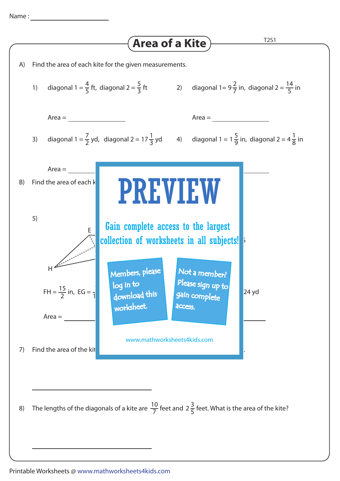